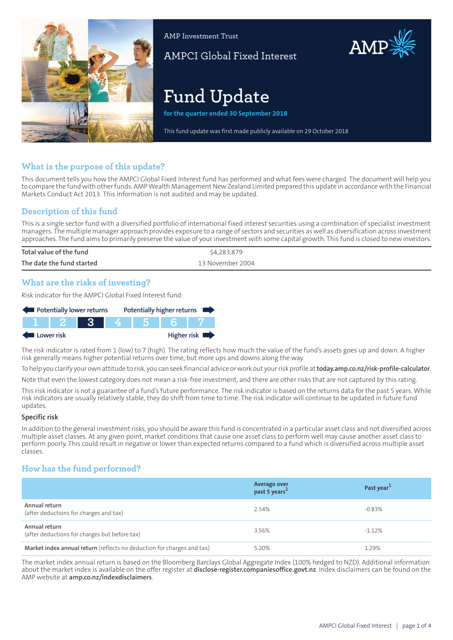

AMP Investment Trust

AMPCI Global Fixed Interest

# **Fund Update**

**for the quarter ended 30 September 2018**

This fund update was first made publicly available on 29 October 2018

## **What is the purpose of this update?**

This document tells you how the AMPCI Global Fixed Interest fund has performed and what fees were charged. The document will help you to compare the fund with other funds. AMP Wealth Management New Zealand Limited prepared this update in accordance with the Financial Markets Conduct Act 2013. This information is not audited and may be updated.

## **Description of this fund**

This is a single sector fund with a diversified portfolio of international fixed interest securities using a combination of specialist investment managers. The multiple manager approach provides exposure to a range of sectors and securities as well as diversification across investment approaches. The fund aims to primarily preserve the value of your investment with some capital growth. This fund is closed to new investors.

| Total value of the fund   | \$4,283,879      |
|---------------------------|------------------|
| The date the fund started | 13 November 2004 |

## **What are the risks of investing?**

Risk indicator for the AMPCI Global Fixed Interest fund:



The risk indicator is rated from 1 (low) to 7 (high). The rating reflects how much the value of the fund's assets goes up and down. A higher risk generally means higher potential returns over time, but more ups and downs along the way.

To help you clarify your own attitude to risk, you can seek financial advice orwork out yourrisk profile at**[today.amp.co.nz/risk-profile-calculator](http://today.amp.co.nz/risk-profile-calculator)**.

Note that even the lowest category does not mean a risk-free investment, and there are other risks that are not captured by this rating.

This risk indicator is not a guarantee of a fund's future performance. The risk indicator is based on the returns data for the past 5 years. While risk indicators are usually relatively stable, they do shift from time to time. The risk indicator will continue to be updated in future fund updates.

#### **Specific risk**

In addition to the general investmentrisks, you should be aware this fund is concentrated in a particular asset class and not diversified across multiple asset classes. At any given point, market conditions that cause one asset class to perform well may cause another asset class to perform poorly. This could result in negative or lower than expected returns compared to a fund which is diversified across multiple asset classes.

## **How has the fund performed?**

|                                                                        | Average over<br>past 5 years <sup>1</sup> | Past year <sup>1</sup> |
|------------------------------------------------------------------------|-------------------------------------------|------------------------|
| Annual return<br>(after deductions for charges and tax)                | 2.54%                                     | $-0.83\%$              |
| Annual return<br>(after deductions for charges but before tax)         | 3.56%                                     | $-1.12\%$              |
| Market index annual return (reflects no deduction for charges and tax) | 5.20%                                     | 1.29%                  |

The market index annual return is based on the Bloomberg Barclays Global Aggregate Index (100% hedged to NZD). Additional information about the market index is available on the offer register at **[disclose-register.companiesoffice.govt.nz](https://disclose-register.companiesoffice.govt.nz/)**. Index disclaimers can be found on the AMP website at **[amp.co.nz/indexdisclaimers](http://amp.co.nz/indexdisclaimers)**.

AMP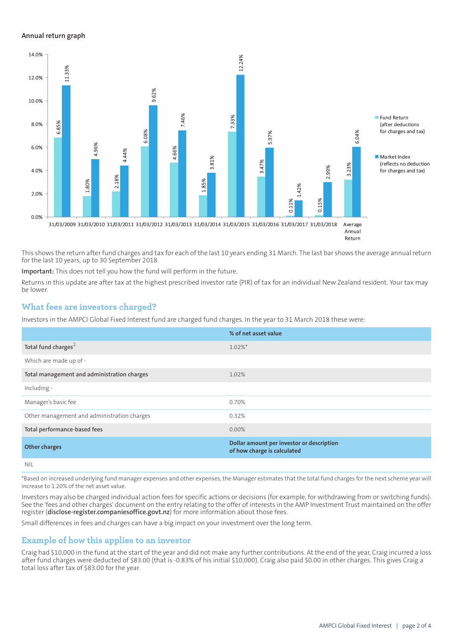#### **Annual return graph**



This shows the return after fund charges and tax for each of the last 10 years ending 31 March. The last bar shows the average annual return for the last 10 years, up to 30 September 2018.

**Important:** This does not tell you how the fund will perform in the future.

Returns in this update are after tax at the highest prescribed investor rate (PIR) of tax for an individual New Zealand resident. Your tax may be lower.

## **What fees are investors charged?**

Investors in the AMPCI Global Fixed Interest fund are charged fund charges. In the year to 31 March 2018 these were:

|                                             | % of net asset value                                                     |
|---------------------------------------------|--------------------------------------------------------------------------|
| Total fund charges <sup>2</sup>             | $1.02\%$ <sup>*</sup>                                                    |
| Which are made up of -                      |                                                                          |
| Total management and administration charges | 1.02%                                                                    |
| Including -                                 |                                                                          |
| Manager's basic fee                         | 0.70%                                                                    |
| Other management and administration charges | 0.32%                                                                    |
| Total performance-based fees                | $0.00\%$                                                                 |
| <b>Other charges</b>                        | Dollar amount per investor or description<br>of how charge is calculated |
| <b>NIL</b>                                  |                                                                          |

\*Based on increased underlying fund manager expenses and other expenses, the Manager estimates that the total fund charges for the next scheme year will increase to 1.20% of the net asset value.

Investors may also be charged individual action fees for specific actions or decisions (for example, for withdrawing from or switching funds). See the 'fees and other charges' document on the entry relating to the offer of interests in the AMP Investment Trust maintained on the offer register (**[disclose-register.companiesoffice.govt.nz](https://disclose-register.companiesoffice.govt.nz/)**) for more information about those fees.

Small differences in fees and charges can have a big impact on your investment over the long term.

## **Example of how this applies to an investor**

Craig had \$10,000 in the fund at the start of the year and did not make any further contributions. At the end of the year, Craig incurred a loss after fund charges were deducted of \$83.00 (that is -0.83% of his initial \$10,000). Craig also paid \$0.00 in other charges. This gives Craig a total loss after tax of \$83.00 for the year.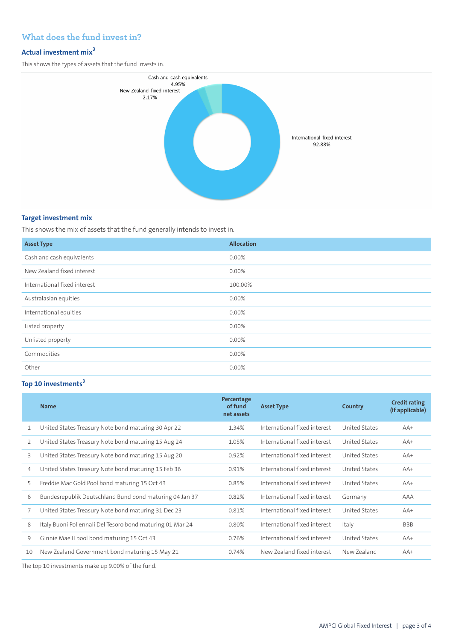# **What does the fund invest in?**

## **Actual investment mix<sup>3</sup>**

This shows the types of assets that the fund invests in.



### **Target investment mix**

This shows the mix of assets that the fund generally intends to invest in.

| <b>Asset Type</b>            | <b>Allocation</b> |
|------------------------------|-------------------|
| Cash and cash equivalents    | $0.00\%$          |
| New Zealand fixed interest   | $0.00\%$          |
| International fixed interest | 100.00%           |
| Australasian equities        | $0.00\%$          |
| International equities       | 0.00%             |
| Listed property              | 0.00%             |
| Unlisted property            | $0.00\%$          |
| Commodities                  | 0.00%             |
| Other                        | 0.00%             |

# **Top 10 investments<sup>3</sup>**

|    | <b>Name</b>                                               | Percentage<br>of fund<br>net assets | <b>Asset Type</b>            | Country       | <b>Credit rating</b><br>(if applicable) |
|----|-----------------------------------------------------------|-------------------------------------|------------------------------|---------------|-----------------------------------------|
| 1  | United States Treasury Note bond maturing 30 Apr 22       | 1.34%                               | International fixed interest | United States | $AA+$                                   |
| 2  | United States Treasury Note bond maturing 15 Aug 24       | 1.05%                               | International fixed interest | United States | $AA+$                                   |
| 3  | United States Treasury Note bond maturing 15 Aug 20       | 0.92%                               | International fixed interest | United States | $AA+$                                   |
| 4  | United States Treasury Note bond maturing 15 Feb 36       | 0.91%                               | International fixed interest | United States | $AA+$                                   |
| 5  | Freddie Mac Gold Pool bond maturing 15 Oct 43             | 0.85%                               | International fixed interest | United States | $AA+$                                   |
| 6  | Bundesrepublik Deutschland Bund bond maturing 04 Jan 37   | 0.82%                               | International fixed interest | Germany       | AAA                                     |
|    | United States Treasury Note bond maturing 31 Dec 23       | 0.81%                               | International fixed interest | United States | $AA+$                                   |
| 8  | Italy Buoni Poliennali Del Tesoro bond maturing 01 Mar 24 | 0.80%                               | International fixed interest | Italy         | <b>BBB</b>                              |
| 9  | Ginnie Mae II pool bond maturing 15 Oct 43                | 0.76%                               | International fixed interest | United States | $AA+$                                   |
| 10 | New Zealand Government bond maturing 15 May 21            | 0.74%                               | New Zealand fixed interest   | New Zealand   | $AA+$                                   |

The top 10 investments make up 9.00% of the fund.